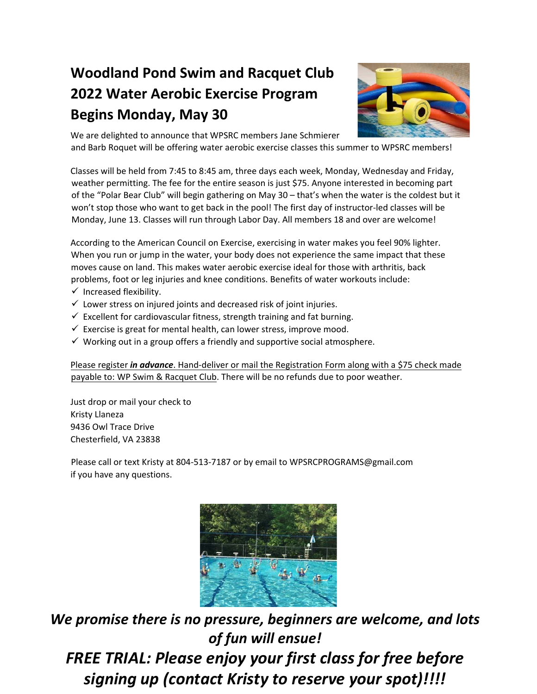## **Woodland Pond Swim and Racquet Club 2022 Water Aerobic Exercise Program Begins Monday, May 30**



We are delighted to announce that WPSRC members Jane Schmierer and Barb Roquet will be offering water aerobic exercise classes this summer to WPSRC members!

Classes will be held from 7:45 to 8:45 am, three days each week, Monday, Wednesday and Friday, weather permitting. The fee for the entire season is just \$75. Anyone interested in becoming part of the "Polar Bear Club" will begin gathering on May 30 – that's when the water is the coldest but it won't stop those who want to get back in the pool! The first day of instructor-led classes will be Monday, June 13. Classes will run through Labor Day. All members 18 and over are welcome!

According to the American Council on Exercise, exercising in water makes you feel 90% lighter. When you run or jump in the water, your body does not experience the same impact that these moves cause on land. This makes water aerobic exercise ideal for those with arthritis, back problems, foot or leg injuries and knee conditions. Benefits of water workouts include:

- $\checkmark$  Increased flexibility.
- $\checkmark$  Lower stress on injured joints and decreased risk of joint injuries.
- $\checkmark$  Excellent for cardiovascular fitness, strength training and fat burning.
- $\checkmark$  Exercise is great for mental health, can lower stress, improve mood.
- $\checkmark$  Working out in a group offers a friendly and supportive social atmosphere.

Please register *in advance*. Hand‐deliver or mail the Registration Form along with a \$75 check made payable to: WP Swim & Racquet Club. There will be no refunds due to poor weather.

Just drop or mail your check to Kristy Llaneza 9436 Owl Trace Drive Chesterfield, VA 23838

Please call or text Kristy at 804-513-7187 or by email to WPSRCPROGRAMS@gmail.com if you have any questions.



*We promise there is no pressure, beginners are welcome, and lots of fun will ensue! FREE TRIAL: Please enjoy your first class for free before signing up (contact Kristy to reserve your spot)!!!!*